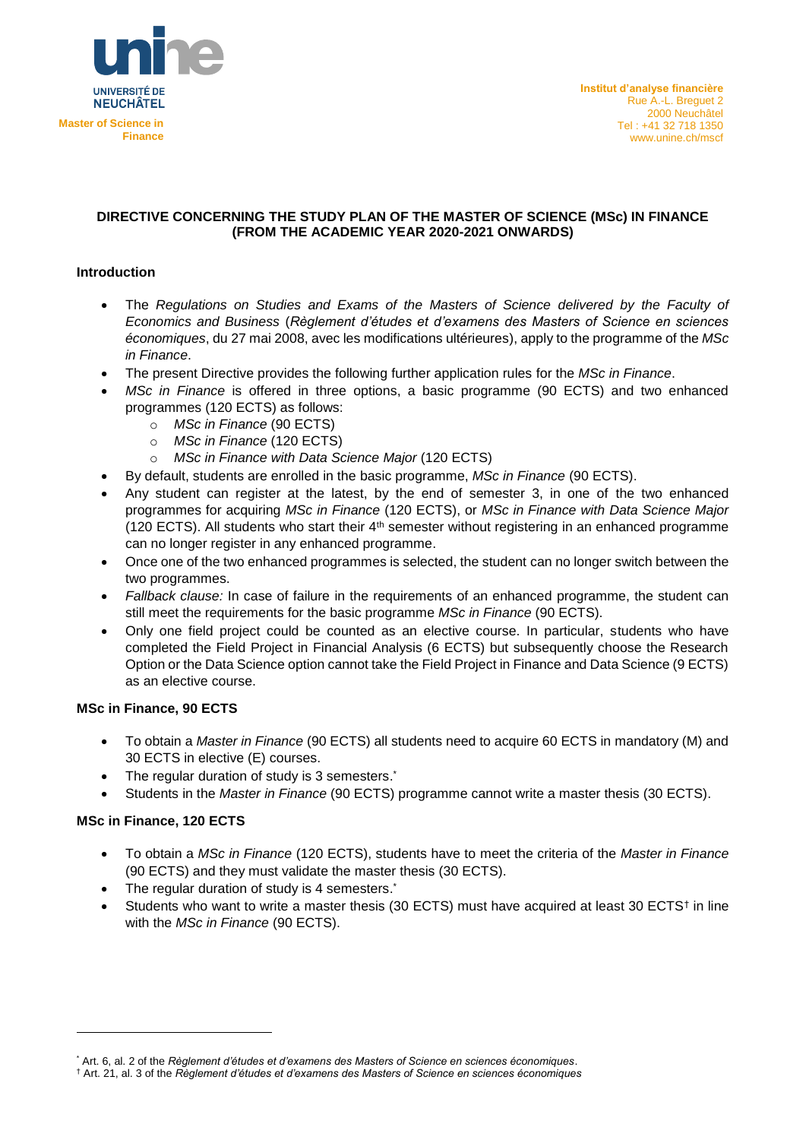

## **DIRECTIVE CONCERNING THE STUDY PLAN OF THE MASTER OF SCIENCE (MSc) IN FINANCE (FROM THE ACADEMIC YEAR 2020-2021 ONWARDS)**

## **Introduction**

- The *Regulations on Studies and Exams of the Masters of Science delivered by the Faculty of Economics and Business* (*Règlement d'études et d'examens des Masters of Science en sciences économiques*, du 27 mai 2008, avec les modifications ultérieures), apply to the programme of the *MSc in Finance*.
- The present Directive provides the following further application rules for the *MSc in Finance*.
- *MSc in Finance* is offered in three options, a basic programme (90 ECTS) and two enhanced programmes (120 ECTS) as follows:
	- o *MSc in Finance* (90 ECTS)
	- o *MSc in Finance* (120 ECTS)
	- o *MSc in Finance with Data Science Major* (120 ECTS)
- By default, students are enrolled in the basic programme, *MSc in Finance* (90 ECTS).
- Any student can register at the latest, by the end of semester 3, in one of the two enhanced programmes for acquiring *MSc in Finance* (120 ECTS), or *MSc in Finance with Data Science Major*  (120 ECTS). All students who start their  $4<sup>th</sup>$  semester without registering in an enhanced programme can no longer register in any enhanced programme.
- Once one of the two enhanced programmes is selected, the student can no longer switch between the two programmes.
- *Fallback clause:* In case of failure in the requirements of an enhanced programme, the student can still meet the requirements for the basic programme *MSc in Finance* (90 ECTS).
- Only one field project could be counted as an elective course. In particular, students who have completed the Field Project in Financial Analysis (6 ECTS) but subsequently choose the Research Option or the Data Science option cannot take the Field Project in Finance and Data Science (9 ECTS) as an elective course.

#### **MSc in Finance, 90 ECTS**

- To obtain a *Master in Finance* (90 ECTS) all students need to acquire 60 ECTS in mandatory (M) and 30 ECTS in elective (E) courses.
- The regular duration of study is 3 semesters.
- Students in the *Master in Finance* (90 ECTS) programme cannot write a master thesis (30 ECTS).

#### **MSc in Finance, 120 ECTS**

1

- To obtain a *MSc in Finance* (120 ECTS), students have to meet the criteria of the *Master in Finance* (90 ECTS) and they must validate the master thesis (30 ECTS).
- The regular duration of study is 4 semesters.
- Students who want to write a master thesis (30 ECTS) must have acquired at least 30 ECTS<sup>†</sup> in line with the *MSc in Finance* (90 ECTS).

<sup>\*</sup> Art. 6, al. 2 of the *Règlement d'études et d'examens des Masters of Science en sciences économiques*.

<sup>†</sup> Art. 21, al. 3 of the *Règlement d'études et d'examens des Masters of Science en sciences économiques*